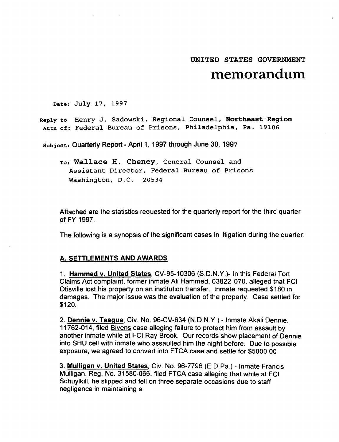# UNITED STATES GOVERNMENT **memorandum**

Date: July 17, 1997

Reply to Henry J. Sadowski, Regional Counsel, Northeast Region Attn of: Federal Bureau of Prisons, Philadelphia, Pa. 19106

Subject: Quarterly Report - April 1, 1997 through June 30, 1997

To: Wallace H. Cheney, General Counsel and Assistant Director, Federal Bureau of Prisons Washington, D.C. 20534

Attached are the statistics requested for the quarterly report for the third quarter of FY 1997.

The following is a synopsis of the significant cases in litigation during the quarter:

#### A. SETTLEMENTS AND AWARDS

1. Hammed v. United States, CV-95-10306 (S.D.N.Y.)-In this Federal Tort Claims Act complaint, former inmate Ali Hammed. 03822-070, alleged that FCI Otisville lost his property on an institution transfer. Inmate requested \$180 In damages. The major issue was the evaluation of the property. Case settled for \$120.

2. Dennie v. Teague. Civ. No. 96-CV-634 (N.D.N.Y.) - Inmate Akali Dennie. 11762-014, filed Bivens case alleging failure to protect him from assault by another inmate while at FCI Ray Brook. Our records show placement of Dennie into SHU cell with inmate who assaulted him the night before. Due to possible exposure, we agreed to convert into FTCA case and settle for \$5000.00

3. Mulligan v. United States, Civ. No. 96-7796 (E.D.Pa.) - Inmate Francis Mulligan. Reg. No. 31580-066. filed FTCA case alleging that while at FCI Schuylkill, he slipped and fell on three separate occasions due to staff negligence in maintaining a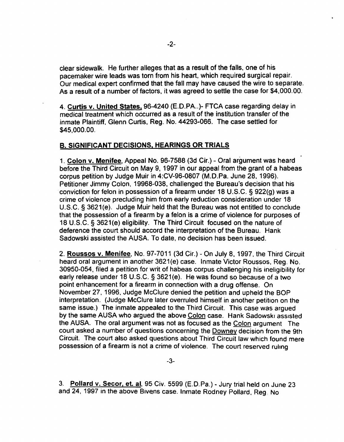clear sidewalk. He further alleges that as a result of the falls, one of his pacemaker wire leads was torn from his heart, which required surgical repair. Our medical expert confirmed that the fall may have caused the wire to separate. As a result of a number of factors, it was agreed to settle the case for \$4.000.00.

4. Curtis v. United States. 96-4240 (E.D.PA..)- FTCA case regarding delay in medical treatment which occurred as a result of the institution transfer of the inmate Plaintiff. Glenn Curtis, Reg. No. 44293-066. The case settled for \$45,000.00.

## B. SIGNIFICANT DECISIONS. HEARINGS OR TRIALS

1. Colon v. Menifee, Appeal No. 96-7588 (3d Cir.) - Oral argument was heard before the Third Circuit on May 9, 1997 in our appeal from the grant of a habeas corpus petition by Judge Muir in 4:CV-96-0807 (M.D.Pa. June 28. 1996). Petitioner Jimmy Colon, 19968-038, challenged the Bureau's decision that his conviction for felon in possession of a firearm under 18 U.S.C. § 922(g) was a crime of violence precluding him from early reduction consideration under 18 U.S.C. § 3621(e). Judge Muir held that the Bureau was not entitled to conclude that the possession of a firearm by a felon is a crime of violence for purposes of 18 U.S.C. § 3621(e) eligibility. The Third Circuit focused on the nature of deference the court should accord the interpretation of the Bureau. Hank Sadowski assisted the AUSA. To date, no decision has been issued.

2. Roussos v. Menifee. No. 97-7011 (3d Cir.) - On July 8, 1997. the Third Circuit heard oral argument in another 3621(e) case. Inmate Victor Roussos. Reg. No. 30950-054, filed a petition for writ of habeas corpus challenging his ineligibility for early release under 18 U.S.C. § 3621(e). He was found so because of a two point enhancement for a firearm in connection with a drug offense. On November 27,1996. Judge McClure denied the petition and upheld the BOP interpretation. (Judge McClure later overruled himself in another petition on the same issue.) The inmate appealed to the Third Circuit. This case was argued by the same AUSA who argued the above Colon case. Hank Sadowski assisted the AUSA. The oral argument was not as focused as the Colon argument The court asked a number of questions concerning the Downey decision from the 9th Circuit. The court also asked questions about Third Circuit law which found mere possession of a firearm is not a crime of violence. The court reserved ruling

3. Pollard v. Secor, et. al. 95 Civ. 5599 (E.D.Pa.) - Jury trial held on June 23 and 24, 1997 in the above Bivens case. Inmate Rodney Pollard. Reg. No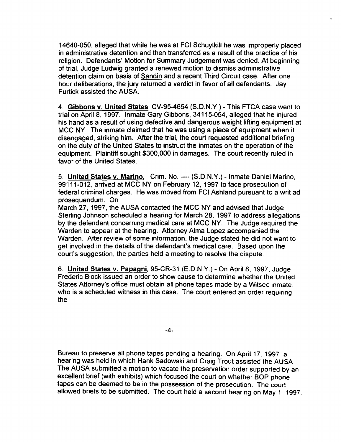14640-050, alleged that while he was at FCI Schuylkill he was improperly placed in administrative detention and then transferred as a result of the practice of his religion. Defendants' Motion for Summary Judgement was denied. At beginning of trial, JUdge Ludwig granted a renewed motion to dismiss administrative detention claim on basis of Sandin and a recent Third Circuit case. After one hour deliberations, the jury returned a verdict in favor of all defendants. Jay Furtick assisted the AUSA.

4. Gibbons v. United States, CV-95-4654 (S.D.N.Y.) - This FTCA case went to trial on April 8, 1997. Inmate Gary Gibbons, 34115-054, alleged that he injured his hand as a result of using defective and dangerous weight lifting equipment at MCC NY. The inmate claimed that he was using a piece of equipment when it disengaged, striking him. After the trial, the court requested additional briefing on the duty of the United States to instruct the inmates on the operation of the equipment. Plaintiff sought \$300,000 in damages. The court recently ruled in favor of the United States.

5. United States v. Marino, Crim. No. ---- (S.D.N.Y.) - Inmate Daniel Marino. 99111-012, arrived at MCC NY on February 12, 1997 to face prosecution of federal criminal charges. He was moved from FCI Ashland pursuant to a writ ad prosequendum. On

March 27, 1997. the AUSA contacted the MCC NY and advised that Judge Sterling Johnson scheduled a hearing for March 28, 1997 to address allegations by the defendant concerning medical care at MCC NY. The Judge required the Warden to appear at the hearing. Attorney Alma Lopez accompanied the Warden. After review of some information, the Judge stated he did not want to get involved in the details of the defendant's medical care. Based upon the court's suggestion. the parties held a meeting to resolve the dispute.

6. United States v. Papagni, 95-CR-31 (E.D.N.Y.) - On April 8, 1997. Judge Frederic Block issued an order to show cause to determine whether the United States Attorney's office must obtain all phone tapes made by a Witsec inmate. who is a scheduled witness in this case. The court entered an order requiring the

-4-

Bureau to preserve all phone tapes pending a hearing. On April 17. 1997 a hearing was held in which Hank Sadowski and Craig Trout assisted the AUSA The AUSA submitted a motion to vacate the preservation order supported by an excellent brief (with exhibits) which focused the court on whether BOP phone tapes can be deemed to be in the possession of the prosecution. The court allowed briefs to be submitted. The court held a second hearing on May 1 1997.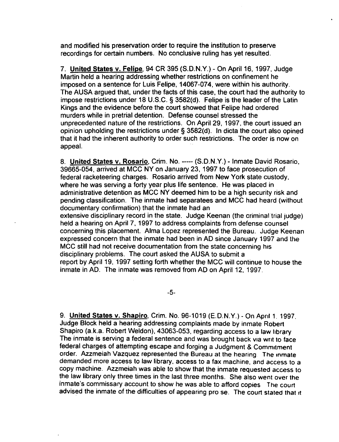and modified his preservation order to require the institution to preserve recordings for certain numbers. No conclusive ruling has yet resulted.

7. United States v. Felipe. 94 GR 395 (S.D.N.Y.) - On April 16. 1997. JUdge Martin held a hearing addressing whether restrictions on confinement he imposed on a sentence for Luis Felipe. 14067-074. were within his authority. The AUSA argued that. under the facts of this case. the court had the authority to impose restrictions under 18 U.S.C. § 3582(d). Felipe is the leader of the Latin Kings and the evidence before the court showed that Felipe had ordered murders while in pretrial detention. Defense counsel stressed the unprecedented nature of the restrictions. On April 29, 1997. the court issued an opinion upholding the restrictions under § 3582(d). In dicta the court also opined that it had the inherent authority to order such restrictions. The order is now on appeal.

8. United States v. Rosario, Crim. No. ----- (S.D.N.Y.) - Inmate David Rosario. 39665-054, arrived at MGG NY on January 23. 1997 to face prosecution of federal racketeering charges. Rosario arrived from New York state custody. where he was serving a forty year plus life sentence. He was placed in administrative detention as MCG NY deemed him to be a high security risk and pending classification. The inmate had separatees and MGG had heard (without documentary confirmation) that the inmate had an extensive disciplinary record in the state. Judge Keenan (the criminal trial judge) held a hearing on April 7. 1997 to address complaints from defense counsel concerning this placement. Alma Lopez represented the Bureau. Judge Keenan expressed concern that the inmate had been in AD since January 1997 and the MCC still had not receive documentation from the state concerning his disciplinary problems. The court asked the AUSA to submit a report by April 19. 1997 setting forth whether the MCG will continue to house the inmate in AD. The inmate was removed from AD on April 12. 1997.

-5-

9. United States v. Shapiro, Grim. No. 96-1019 (E.D.N.Y.) - On April 1. 1997. JUdge Block held a hearing addressing complaints made by inmate Robert Shapiro (a.k.a. Robert Weldon). 43063-053, regarding access to a law library The inmate is serving a federal sentence and was brought back via Writ to face federal charges of attempting escape and forging a Judgment & Commitment order. Azzmeiah Vazquez represented the Bureau at the hearing The Inmate demanded more access to law library. access to a fax machine. and access to a copy machine. Azzmeiah was able to show that the inmate requested access to the law library only three times in the last three months. She also went over the inmate's commissary account to show he was able to afford copies The court advised the inmate of the difficulties of appearing pro se. The court stated that it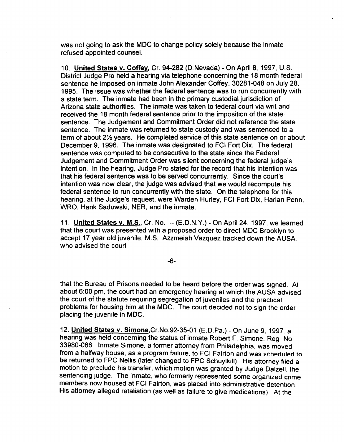was not going to ask the MOC to change policy solely because the inmate refused appointed counsel.

10. United States v. Coffey, Cr. 94-282 (0. Nevada) - On April 8, 1997, U.S. District Judge Pro held a hearing via telephone concerning the 18 month federal sentence he imposed on inmate John Alexander Coffey, 30281-048 on July 28, 1995. The issue was whether the federal sentence was to run concurrently with a state term. The inmate had been in the primary custodial jurisdiction of Arizona state authorities. The inmate was taken to federal court via writ and received the 18 month federal sentence prior to the imposition of the state sentence. The Judgement and Commitment Order did not reference the state sentence. The inmate was returned to state custody and was sentenced to a term of about 2% years. He completed service of this state sentence on or about December 9, 1996. The inmate was designated to FCI Fort Dix. The federal sentence was computed to be consecutive to the state since the Federal Judgement and Commitment Order was silent concerning the federal judge's intention. In the hearing, Judge Pro stated for the record that his intention was that his federal sentence was to be served concurrently. Since the court's intention was now clear, the judge was advised that we would recompute his federal sentence to run concurrently with the state. On the telephone for this hearing, at the Judge's request, were Warden Hurley, FCI Fort Dix. Harlan Penn, WRO, Hank Sadowski, NER, and the inmate.

11. United States v. M.S., Cr. No. --- (E.D.N.Y.) - On April 24, 1997, we learned that the court was presented with a proposed order to direct MDC Brooklyn to accept 17 year old juvenile, M.S. Azzmeiah Vazquez tracked down the AUSA. who advised the court

-6-

that the Bureau of Prisons needed to be heard before the order was Signed At about 6:00 pm, the court had an emergency hearing at which the AUSA advised the court of the statute requiring segregation of juveniles and the practical problems for housing him at the MDC. The court decided not to sign the order placing the juvenile in MOC.

12. United States v. Simone.Cr.No.92-35-01 (E.D.Pa.) - On June 9.1997. a hearing was held concerning the status of inmate Robert F. Simone. Reg No 33980-066. Inmate Simone, a former attorney from Philadelphia. was moved from a halfway house, as a program failure, to FCI Fairton and was scheduled to be returned to FPC Nellis (later changed to FPC Schuylkill). His attorney filed a motion to preclude his transfer, which motion was granted by JUdge Dalzell. the sentencing judge. The inmate, who formerly represented some organized crime members now housed at FCI Fairton, was placed into administrative detention. His attorney alleged retaliation (as well as failure to give medications) At the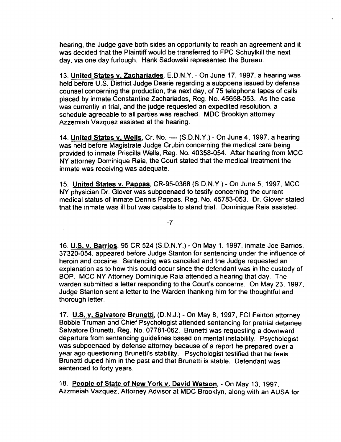hearing. the Judge gave both sides an opportunity to reach an agreement and it was decided that the Plaintiff would be transferred to FPC Schuylkill the next day, via one day furlough. Hank Sadowski represented the Bureau.

13. United States v. Zachariades, E.D.N.Y. - On June 17,1997, a hearing was held before U.S. District Judge Dearie regarding a subpoena issued by defense counsel concerning the production. the next day, of 75 telephone tapes of calls placed by inmate Constantine Zachariades, Reg. No. 45658-053. As the case was currently in trial. and the judge requested an expedited resolution, a schedule agreeable to all parties was reached. MDC Brooklyn attorney Azzemiah Vazquez assisted at the hearing.

14. United States v. Wells, Cr. No. ---- (S.D.N.Y.) - On June 4. 1997, a hearing was held before Magistrate Judge Grubin concerning the medical care being provided to inmate Priscilla Wells. Reg. No. 40358-054. After hearing from MCC NY attorney Dominique Raia, the Court stated that the medical treatment the inmate was receiving was adequate.

15. United States v. Pappas. CR-95-0368 (S.D.N.Y.) - On June 5, 1997. MCC NY physician Dr. Glover was subpoenaed to testify concerning the current medical status of inmate Dennis Pappas. Reg. No. 45783-053. Dr. Glover stated that the inmate was ill but was capable to stand trial. Dominique Raia assisted.

-7-

16. U.S. v. Barrios. 95 CR 524 (S.D.N.Y.) - On May 1. 1997, inmate Joe Barrios. 37320-054. appeared before Judge Stanton for sentencing under the influence of heroin and cocaine. Sentencing was canceled and the Judge requested an explanation as to how this could occur since the defendant was in the custody of BOP. MCC NY Attorney Dominique Raia attended a hearing that day. The warden submitted a letter responding to the Court's concerns. On May 23. 1997. JUdge Stanton sent a letter to the Warden thanking him for the thoughtful and thorough letter.

17. U.S. v. Salvatore Brunetti, (D.N.J.) - On May 8,1997, FCI Fairton attorney Bobbie Truman and Chief Psychologist attended sentencing for pretrial detainee Salvatore Brunetti. Reg. No. 07781-062. Brunetti was requesting a downward departure from sentencing guidelines based on mental instability. Psychologist was subpoenaed by defense attorney because of a report he prepared over a year ago questioning Brunetti's stability. Psychologist testified that he feels Brunetti duped him in the past and that Brunetti is stable. Defendant was sentenced to forty years.

18. People of State of New York v. David Watson, - On May 13, 1997. Azzmeiah Vazquez. Attorney Advisor at MDC Brooklyn, along with an AUSA for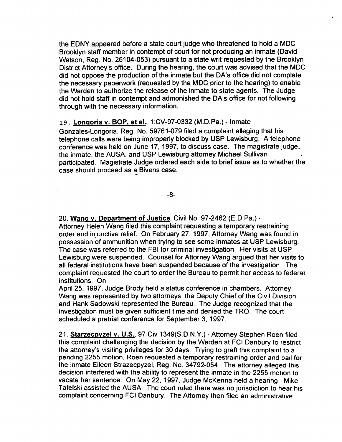the EDNY appeared before a state court judge who threatened to hold a MDC Brooklyn staff member in contempt of court for not producing an inmate (David Watson, Reg. No. 26104-053) pursuant to a state writ requested by the Brooklyn District Attorney's office. During the hearing, the court was advised that the MOC did not oppose the production of the inmate but the DA's office did not complete the necessary paperwork (requested by the MDC prior to the hearing) to enable the Warden to authorize the release of the inmate to state agents. The JUdge did not hold staff in contempt and admonished the DA's office for not following through with the necessary information.

#### 19. Longoria v. BOP, at aI., 1:CV-97-0332 (M.D.Pa.) - Inmate

Gonzales-Longoria. Reg. No. 59761-079 filed a complaint alleging that his telephone calls were being improperly blocked by USP Lewisburg. A telephone conference was held on June 17. 1997, to discuss case. The magistrate judge, the inmate, the AUSA, and USP Lewisburg attorney Michael Sullivan participated. Magistrate Judge ordered each side to brief issue as to whether the case should proceed as a Bivens case.

-8-

## 20. Wang v. Department of Justice, Civil No. 97-2462 (E.D.Pa.)-

Attorney Helen Wang filed this complaint requesting a temporary restraining order and injunctive relief. On February 27, 1997, Attorney Wang was found in possession of ammunition when trying to see some inmates at USP Lewisburg. The case was referred to the FBI for criminal investigation. Her visits at USP Lewisburg were suspended. Counsel for Attorney Wang argued that her visits to all federal institutions have been suspended because of the investigation. The complaint requested the court to order the Bureau to permit her access to federal institutions. On

Aprii 25, 1997. Judge Brody held a status conference in chambers. Attorney Wang was represented by two attorneys; the Deputy Chief of the Civil Division and Hank Sadowski represented the Bureau. The Judge recognized that the investigation must be given sufficient time and denied the TRO. The court scheduled a pretrial conference for September 3, 1997.

21. Starzecpyzel v. U.S.. 97 Civ 1349(S.D.N.Y.) - Attorney Stephen Roen filed this complaint challenging the decision by the Warden at FCI Danbury to restrict the attorney's visiting privileges for 30 days. Trying to graft this complaint to a pending 2255 motion. Roen requested a temporary restraining order and ball for the inmate Eileen Strazecpyzel, Reg. No. 34792-054. The attorney alleged this decision interfered with the ability to represent the inmate in the 2255 motion to vacate her sentence. On May 22.1997, Judge McKenna held a hearing Mike Tafelski assisted the AUSA. The court ruled there was no jurisdiction to hear his complaint concerning FCI Danbury. The Attorney then filed an administrative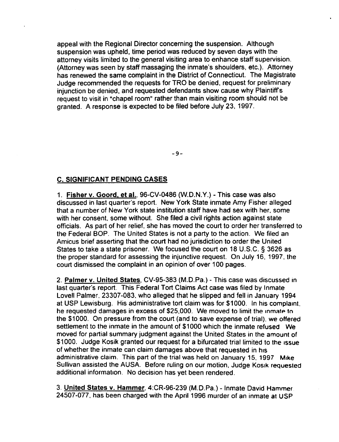appeal with the Regional Director concerning the suspension. Although suspension was upheld, time period was reduced by seven days with the attorney visits limited to the general visiting area to enhance staff supervision. (Attorney was seen by staff massaging the inmate's shoulders. etc.). Attorney has renewed the same complaint in the District of Connecticut. The Magistrate Judge recommended the requests for TRO be denied, request for preliminary injunction be denied, and requested defendants show cause why Plaintiffs request to visit in "chapel room" rather than main visiting room should not be granted. A response is expected to be filed before July 23, 1997.

-9-

## C. SIGNIFICANT PENDING CASES

1. Fisher v. Goord, et aI., 96-CV-0486 (W.D.N.Y.) - This case was also discussed in last quarter's report. New York State inmate Amy Fisher alleged that a number of New York state institution staff have had sex with her, some with her consent, some without. She filed a civil rights action against state officials. As part of her relief, she has moved the court to order her transferred to the Federal BOP. The United States is not a party to the action. We filed an Amicus brief asserting that the court had no jurisdiction to order the United States to take a state prisoner. We focused the court on 18 U.S.C. § 3626 as the proper standard for assessing the injunctive request. On July 16. 1997. the court dismissed the complaint in an opinion of over 100 pages.

2. Palmer v. United States, CV-95-383 (M.D.Pa.) - This case was discussed in last quarter's report. This Federal Tort Claims Act case was filed by Inmate Lovell Palmer. 23307-083, who alleged that he slipped and fell in January 1994 at USP Lewisburg. His administrative tort claim was for \$1000. In his complaint. he requested damages in excess of \$25,000. We moved to limit the inmate to the \$1000. On pressure from the court (and to save expense of trial). we offered settlement to the inmate in the amount of \$1000 which the inmate refused We moved for partial summary judgment against the United States in the amount of \$1000. Judge Kosik granted our request for a bifurcated trial limited to the issue of whether the inmate can claim damages above that requested in his administrative claim. This part of the trial was held on January 15. 1997 Mike Sullivan assisted the AUSA. Before ruling on our motion, Judge Kosik requested additional information. No decision has yet been rendered.

3. United States v. Hammer. 4:CR-96-239 (M.D.Pa.) - Inmate David Hammer 24507-077. has been charged with the April 1996 murder of an inmate at USP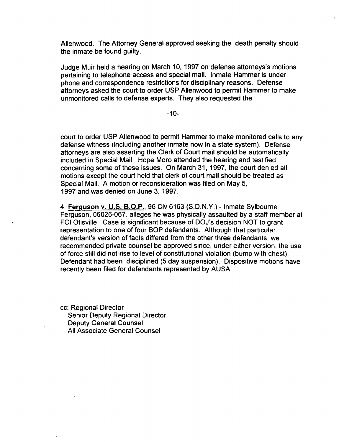Allenwood. The Attorney General approved seeking the death penalty should the inmate be found guilty.

Judge Muir held a hearing on March 10, 1997 on defense attorneys's motions pertaining to telephone access and special mail. Inmate Hammer is under phone and correspondence restrictions for disciplinary reasons. Defense attorneys asked the court to order USP Allenwood to permit Hammer to make unmonitored calls to defense experts. They also requested the

-10-

court to order USP Allenwood to permit Hammer to make monitored calls to any defense witness (including another inmate "now in a state system). Defense attorneys are also asserting the Clerk of Court mail should be automatically included in Special Mail. Hope Moro attended the hearing and testified concerning some of these issues. On March 31, 1997, the court denied all motions except the court held that clerk of court mail should be treated as Special Mail. A motion or reconsideration was filed on May 5. 1997 and was denied on June 3, 1997.

4. Ferguson v. U.S. B.O.P.. 96 Civ 6163 (S.D.N.Y.) - Inmate Sylbourne Ferguson, 06026-067, alleges he was physically assaulted by a staff member at FCI Otisville. Case is significant because of DOJ's decision NOT to grant representation to one of four BOP defendants. Although that particular defendant's version of facts differed from the other three defendants. we recommended private counsel be approved since, under either version. the use of force still did not rise to level of constitutional violation (bump with chest) Defendant had been disciplined (5 day suspension). Dispositive motions have recently been filed for defendants represented by AUSA.

cc: Regional Director Senior Deputy Regional Director Deputy General Counsel All Associate General Counsel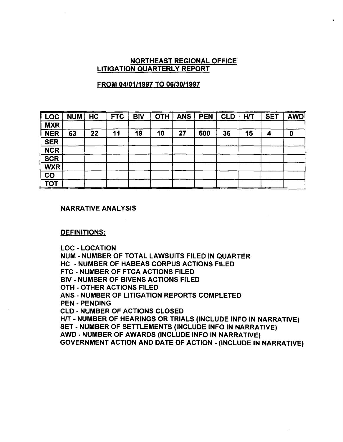### NORTHEAST REGIONAL OFFICE LITIGATION QUARTERLY REPORT

### FROM *04/01/1997* TO *06/30/1997*

| <b>LOC</b> | <b>NUM</b> | HC | <b>FTC</b> | <b>BIV</b> | <b>OTH</b> | <b>ANS</b> | <b>PEN</b> | <b>CLD</b> | <b>H/T</b> | <b>SET</b> | <b>AWD</b> |
|------------|------------|----|------------|------------|------------|------------|------------|------------|------------|------------|------------|
| <b>MXR</b> |            |    |            |            |            |            |            |            |            |            |            |
| <b>NER</b> | 63         | 22 | 11         | 19         | 10         | 27         | 600        | 36         | 15         | л          | 0          |
| <b>SER</b> |            |    |            |            |            |            |            |            |            |            |            |
| <b>NCR</b> |            |    |            |            |            |            |            |            |            |            |            |
| <b>SCR</b> |            |    |            |            |            |            |            |            |            |            |            |
| <b>WXR</b> |            |    |            |            |            |            |            |            |            |            |            |
| CO         |            |    |            |            |            |            |            |            |            |            |            |
| <b>TOT</b> |            |    |            |            |            |            |            |            |            |            |            |

#### NARRATIVE ANALYSIS

#### DEFINITIONS:

LOC - LOCATION

NUM - NUMBER OF TOTAL LAWSUITS FILED IN QUARTER

HC - NUMBER OF HABEAS CORPUS ACTIONS FILED

FTC - NUMBER OF FTCA ACTIONS FILED

BIV - NUMBER OF BIVENS ACTIONS FILED

OTH - OTHER ACTIONS FILED

ANS • NUMBER OF LITIGATION REPORTS COMPLETED

PEN - PENDING

CLD • NUMBER OF ACTIONS CLOSED .

HIT - NUMBER OF HEARINGS OR TRIALS (INCLUDE INFO IN NARRATIVE) SET - NUMBER OF SETTLEMENTS (INCLUDE INFO IN NARRATIVE)

AWD· NUMBER OF AWARDS (INCLUDE INFO IN NARRATIVE)

GOVERNMENT ACTION AND DATE OF ACTION - (INCLUDE IN NARRATIVE)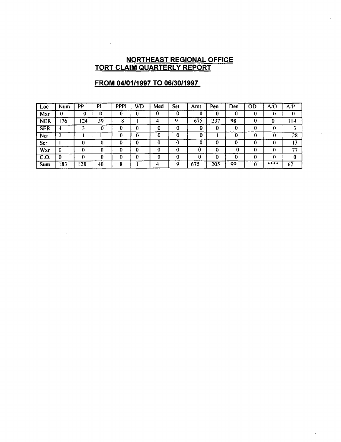#### **NORTHEAST REGIONAL OFFICE TORT CLAIM QUARTERLY REPORT**

| Loc        | Num      | PР   | P)          | <b>PPPI</b> | WD | Med | Set | Amt | Pen | Den | OD | A/O          | A/P  |
|------------|----------|------|-------------|-------------|----|-----|-----|-----|-----|-----|----|--------------|------|
| Mxr        | ß        | 0    | 0           |             |    | 0   | 0   | 0   | 0   | 0   | 0  | 0            |      |
| <b>NER</b> | .76      | 124  | 39          | o           |    |     | ۵   | 675 | 237 | 98  |    |              | l 14 |
| <b>SER</b> |          |      | 0           | 0           | 0  |     | 0   | 0   | 0   | 0   |    |              |      |
| Ncr        | C.<br>-  |      |             |             | 0  |     | 0   | 0   |     | 0   |    |              | 28   |
| Scr        |          |      | $\Omega$    | 0           | "  | 0   | 0   | 0   |     | 0   | 0  |              |      |
| Wxr        | $\bf{0}$ |      | $\mathbf 0$ | 0           | 0  | 0   | 0   | 0   |     | 0   | 0  | $\mathbf{0}$ | 77   |
| C.O.       | -0       |      | 0           |             | Λ  | 0   |     | 0   |     | 0   | 0  | 0            |      |
| Sum        | 183.     | ! 28 | 40          | 8           |    |     | q   | 675 | 205 | 99  |    | ****         | 62   |

 $\ddot{\phantom{0}}$ 

# **FROM 04/01/1997 TO 06/30/1997**

 $\sim 10^{-11}$ 

 $\sim$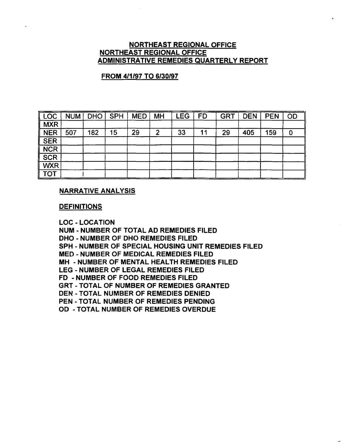#### NORTHEAST REGIONAL OFFICE NORTHEAST REGIONAL OFFICE ADMINISTRATIVE REMEDIES QUARTERLY REPORT

## FROM 4/1/97 TO 6/30/97

| ∥ LOC                       | <b>NUM</b> | <b>DHO</b> | <b>SPH</b> | <b>MED</b> | <b>MH</b> | <b>LEG</b> | <b>FD</b> | <b>GRT</b> | <b>DEN</b> | <b>PEN</b> | OD |
|-----------------------------|------------|------------|------------|------------|-----------|------------|-----------|------------|------------|------------|----|
| $\sqrt{\textsf{MXR}}$       |            |            |            |            |           |            |           |            |            |            |    |
| <b>NER</b>                  | 507        | 182        | 15         | 29         | 2         | 33         | 11        | 29         | 405        | 159        | C  |
| <b>SER</b>                  |            |            |            |            |           |            |           |            |            |            |    |
| <b>NCR</b>                  |            |            |            |            |           |            |           |            |            |            |    |
| <b>SCR</b>                  |            |            |            |            |           |            |           |            |            |            |    |
| <b>WXR</b>                  |            |            |            |            |           |            |           |            |            |            |    |
| $\overline{\text{\tt Tor}}$ |            |            |            |            |           |            |           |            |            |            |    |

#### NARRATIVE ANALYSIS

#### **DEFINITIONS**

LOC - LOCATION

NUM - NUMBER OF TOTAL AD REMEDIES FILED

DHO - NUMBER OF DHO REMEDIES FILED

SPH - NUMBER OF SPECIAL HOUSING UNIT REMEDIES FILED

MED - NUMBER OF MEDICAL REMEDIES FILED

MH - NUMBER OF MENTAL HEALTH REMEDIES FILED

LEG - NUMBER OF LEGAL REMEDIES FILED

FD - NUMBER OF FOOD REMEDIES FILED

GRT - TOTAL OF NUMBER OF REMEDIES GRANTED

DEN - TOTAL NUMBER OF REMEDIES DENIED

PEN - TOTAL NUMBER OF REMEDIES PENDING

00 - TOTAL NUMBER OF REMEDIES OVERDUE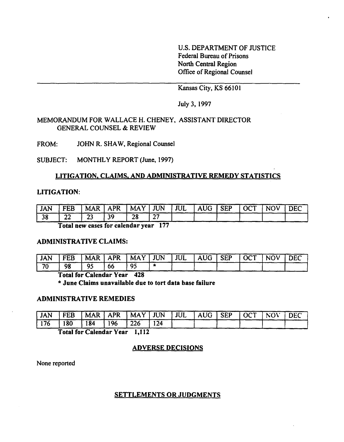U.S. DEPARTMENT OF JUSTICE Federal Bureau of Prisons North Central Region Office of Regional Counsel

Kansas City, KS 66101

July 3, 1997

#### MEMORANDUM FOR WALLACE H. CHENEY, ASSISTANT DIRECTOR GENERAL COUNSEL & REVIEW

FROM: JOHN R. SHAW, Regional Counsel

SUBJECT: MONTHLY REPORT (June, 1997)

## LITIGATION. CLAIMS. AND ADMINISTRATIVE REMEDY STATISTICS

#### LITIGATION:

| <b>JAN</b> | <b>FEB</b> |               | $^{\dagger}$ MAR   APR   MAY   JUN   JUL |    |    | AUG SEP | $\overline{\phantom{a}}$   OCT | <b>NOV</b> | <b>DEC</b> |
|------------|------------|---------------|------------------------------------------|----|----|---------|--------------------------------|------------|------------|
| 38         | 22         | $\sim$<br>ل ک | 39                                       | 28 | ^¬ |         |                                |            |            |

Total new cases for calendar year 177

#### ADMINISTRATIVE CLAIMS:

| ' JAN | FEB |    |    |    |  | MAR   APR   MAY   JUN   JUL   AUG   SEP   OCT   NOV |  | $\overline{\phantom{a}}$ DEC |
|-------|-----|----|----|----|--|-----------------------------------------------------|--|------------------------------|
| 70    | 98  | റ് | 66 | 95 |  |                                                     |  |                              |

## Total for Calendar Year 428

\* June Claims unavailable due to tort data base failure

#### ADMINISTRATIVE REMEDIES

| ! JAN         | $\cdot$   FEB | MAR   APR   MAY   JUN   JUL   AUG   SEP   OCT |     |                  |     |  |  | NOV | $\overline{DEC}$ |
|---------------|---------------|-----------------------------------------------|-----|------------------|-----|--|--|-----|------------------|
| $176$ 180 184 |               |                                               | 196 | $\frac{1226}{ }$ | 124 |  |  |     |                  |

Total for Calendar Year 1,112

## ADVERSE DECISIONS

None reported

#### SETTLEMENTS OR JUDGMENTS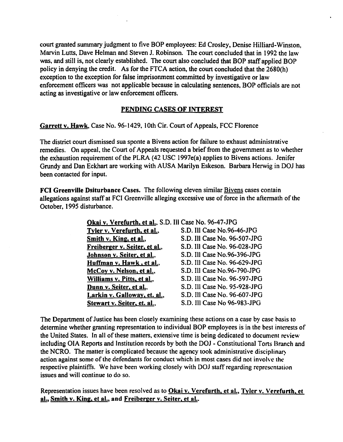court granted summary judgment to five BOP employees: Ed Crosley, Denise Hilliard-Winston, Marvin Lutts, Dave Helman and Steven J. Robinson. The court concluded that in 1992 the law was, and still is, not clearly established. The court also concluded that BOP staff applied BOP policy in denying the credit. As for the FTCA action, the court concluded that the 2680(h) exception to the exception for false imprisonment committed by investigative or law enforcement officers was not applicable because in calculating sentences, BOP officials are not acting as investigative or law enforcement officers.

#### PENDING CASES OF INTEREST

Garrett v. Hawk, Case No. 96-1429, 10th Cir. Court of Appeals, FCC Florence

The district court dismissed sua sponte a Bivens action for failure to exhaust administrative remedies. On appeal, the Court of Appeals requested a brief from the government as to whether the exhaustion requirement of the PLRA  $(42 \text{ USC } 1997e(a)$  applies to Bivens actions. Jenifer Grundy and Dan Eckhart are working with AUSA Marilyn Eskeson. Barbara Herwig in DOJ has been contacted for input.

FCI Greenville Dsiturbance Cases. The following eleven similar Bivens cases contain allegations against staff at FCI Greenville alleging excessive use of force in the aftermath of the October, 1995 disturbance.

> Okai v. Verefurth. et aI., S.D. III Case No. 96-47-JPG Tyler v. Verefurth, et al., S.D. Ill Case No.96-46-JPG Smith v. King, et al., S.D. III Case No. 96-507-JPG Freiberger v. Seiter, et al., S.D. Ill Case No. 96-028-JPG Johnson v. Seiter, et al., S.D. Ill Case No.96-396-JPG Huffman v. Hawk, et al., S.D. Ill Case No. 96-629-JPG McCoy v. Nelson, et al., S.D. Ill Case No.96-790-JPG Williams v. Pitts, et al., S.D. III Case No. 96-597-JPG Dunn v. Seiter. et al., S.D. Ill Case No. 95-928-JPG Larkin v. Galloway, et. al., S.D. III Case No. 96-607-JPG Stewart v. Seiter, et. al., S.D. Ill Case No 96-983-JPG

The Department of Justice has been closely examining these actions on a case by case hasis to determine whether granting representation to individual BOP employees is in the best interests of the United States. In all of these matters, extensive time is being dedicated to document review including OIA Reports and Institution records by both the DOJ - Constitutional Torts Branch and the NCRO. The matter is complicated because the agency took administrative disciplinary action against some of the defendants for conduct which in most cases did not involve the respective plaintiffs. We have been working closely with DOJ staff regarding representation issues and will continue to do so.

Representation issues have been resolved as to **Okai v. Verefurth**, et al., Tyler v. Verefurth, et al., Smith v. King, et al., and Freiberger v. Seiter, et al..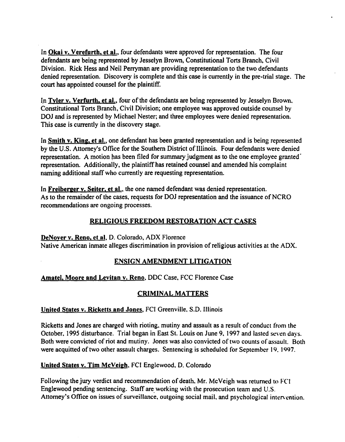In Okai v. Verefurth, et al., four defendants were approved for representation. The four defendants are being represented by Jesselyn Brown, Constitutional Torts Branch, Civil Division. Rick Hess and Neil Perryman are providing representation to the two defendants denied representation. Discovery is complete and this case is currently in the pre-trial stage. The court has appointed counsel for the plaintiff.

In Tyler v. Verfurth, et al., four of the defendants are being represented by Jesselyn Brown. Constitutional Torts Branch, Civil Division; one employee was approved outside counsel by DOJ and is represented by Michael Nester; and three employees were denied representation. This case is currently in the discovery stage.

In Smith v. King, et al., one defendant has been granted representation and is being represented by the U.S. Attorney's Office for the Southern District of Illinois. Four defendants were denied representation. A motion has been filed for summary judgment as to the one employee granted' representation. Additionally, the plaintiffhas retained counsel and amended his complaint naming additional staff who currently are requesting representation.

In Freiberger v. Seiter, et al., the one named defendant was denied representation. As to the remainder of the cases, requests for DOJ representation and the issuance of NCRO recommendations are ongoing processes.

# RELIGIOUS FREEDOM RESTORATION ACT CASES

DeNoyer v. Reno. et ai, D. Colorado, ADX Florence Native American inmate alleges discrimination in provision ofreligious activities at the ADX.

# ENSIGN AMENDMENT LITIGATION

# Amatel, Moore and Levitan v. Reno, DDC Case, FCC Florence Case

# CRIMINAL MATTERS

## United States v. Ricketts and Jones, FCI Greenville, S.D. Illinois

Ricketts and Jones are charged with rioting. mutiny and assault as a result of conduct from the October. 1995 disturbance. Trial began in East St. Louis on June 9. 1997 and lasted sevcn days. Both were convicted of riot and mutiny. Jones was also convicted of two counts of assault. Both were acquitted of two other assault charges. Sentencing is scheduled for September 19. 1997.

## United States v. Tim McVeigh. FCI Englewood. D. Colorado

Following the jury verdict and recommendation of death, Mr. McVeigh was returned to FCI Englewood pending sentencing. Staff are working with the prosecution team and U.S. Attorney's Office on issues of surveillance, outgoing social mail, and psychological intervention.